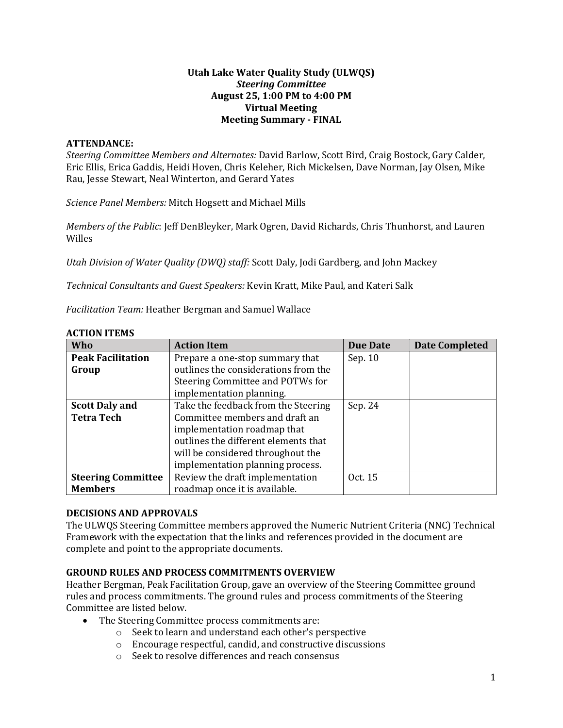## **Utah Lake Water Quality Study (ULWQS)** *Steering Committee* **August 25, 1:00 PM to 4:00 PM Virtual Meeting Meeting Summary - FINAL**

#### **ATTENDANCE:**

*Steering Committee Members and Alternates:* David Barlow, Scott Bird, Craig Bostock, Gary Calder, Eric Ellis, Erica Gaddis, Heidi Hoven, Chris Keleher, Rich Mickelsen, Dave Norman, Jay Olsen, Mike Rau, Jesse Stewart, Neal Winterton, and Gerard Yates

*Science Panel Members:* Mitch Hogsett and Michael Mills

*Members of the Public*: Jeff DenBleyker, Mark Ogren, David Richards, Chris Thunhorst, and Lauren Willes

*Utah Division of Water Quality (DWQ) staff:* Scott Daly, Jodi Gardberg, and John Mackey

*Technical Consultants and Guest Speakers:* Kevin Kratt, Mike Paul, and Kateri Salk

*Facilitation Team:* Heather Bergman and Samuel Wallace

| Who                       | <b>Action Item</b>                   | <b>Due Date</b> | <b>Date Completed</b> |
|---------------------------|--------------------------------------|-----------------|-----------------------|
| <b>Peak Facilitation</b>  | Prepare a one-stop summary that      | Sep. 10         |                       |
| Group                     | outlines the considerations from the |                 |                       |
|                           | Steering Committee and POTWs for     |                 |                       |
|                           | implementation planning.             |                 |                       |
| <b>Scott Daly and</b>     | Take the feedback from the Steering  | Sep. 24         |                       |
| <b>Tetra Tech</b>         | Committee members and draft an       |                 |                       |
|                           | implementation roadmap that          |                 |                       |
|                           | outlines the different elements that |                 |                       |
|                           | will be considered throughout the    |                 |                       |
|                           | implementation planning process.     |                 |                       |
| <b>Steering Committee</b> | Review the draft implementation      | Oct. 15         |                       |
| <b>Members</b>            | roadmap once it is available.        |                 |                       |

#### **ACTION ITEMS**

## **DECISIONS AND APPROVALS**

The ULWQS Steering Committee members approved the Numeric Nutrient Criteria (NNC) Technical Framework with the expectation that the links and references provided in the document are complete and point to the appropriate documents.

#### **GROUND RULES AND PROCESS COMMITMENTS OVERVIEW**

Heather Bergman, Peak Facilitation Group, gave an overview of the Steering Committee ground rules and process commitments. The ground rules and process commitments of the Steering Committee are listed below.

- The Steering Committee process commitments are:
	- o Seek to learn and understand each other's perspective
	- o Encourage respectful, candid, and constructive discussions
	- o Seek to resolve differences and reach consensus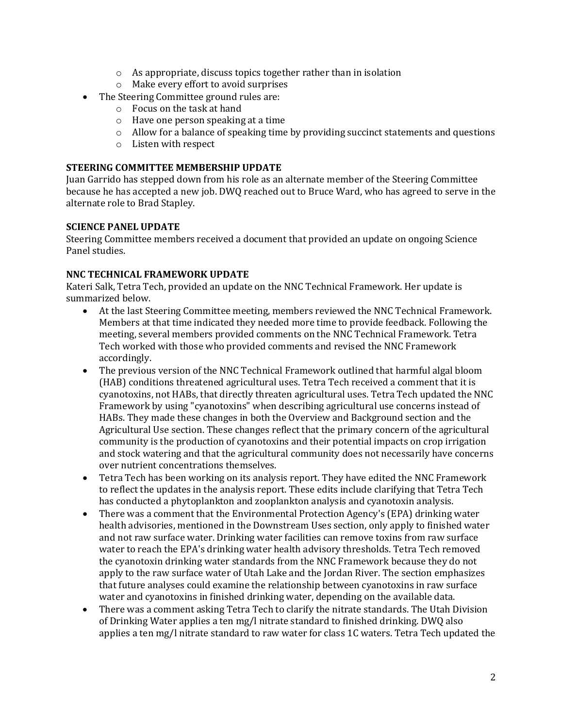- o As appropriate, discuss topics together rather than in isolation
- o Make every effort to avoid surprises
- The Steering Committee ground rules are:
	- o Focus on the task at hand
	- o Have one person speaking at a time
	- $\circ$  Allow for a balance of speaking time by providing succinct statements and questions
	- o Listen with respect

#### **STEERING COMMITTEE MEMBERSHIP UPDATE**

Juan Garrido has stepped down from his role as an alternate member of the Steering Committee because he has accepted a new job. DWQ reached out to Bruce Ward, who has agreed to serve in the alternate role to Brad Stapley.

#### **SCIENCE PANEL UPDATE**

Steering Committee members received a document that provided an update on ongoing Science Panel studies.

#### **NNC TECHNICAL FRAMEWORK UPDATE**

Kateri Salk, Tetra Tech, provided an update on the NNC Technical Framework. Her update is summarized below.

- At the last Steering Committee meeting, members reviewed the NNC Technical Framework. Members at that time indicated they needed more time to provide feedback. Following the meeting, several members provided comments on the NNC Technical Framework. Tetra Tech worked with those who provided comments and revised the NNC Framework accordingly.
- The previous version of the NNC Technical Framework outlined that harmful algal bloom (HAB) conditions threatened agricultural uses. Tetra Tech received a comment that it is cyanotoxins, not HABs, that directly threaten agricultural uses. Tetra Tech updated the NNC Framework by using "cyanotoxins" when describing agricultural use concerns instead of HABs. They made these changes in both the Overview and Background section and the Agricultural Use section. These changes reflect that the primary concern of the agricultural community is the production of cyanotoxins and their potential impacts on crop irrigation and stock watering and that the agricultural community does not necessarily have concerns over nutrient concentrations themselves.
- Tetra Tech has been working on its analysis report. They have edited the NNC Framework to reflect the updates in the analysis report. These edits include clarifying that Tetra Tech has conducted a phytoplankton and zooplankton analysis and cyanotoxin analysis.
- There was a comment that the Environmental Protection Agency's (EPA) drinking water health advisories, mentioned in the Downstream Uses section, only apply to finished water and not raw surface water. Drinking water facilities can remove toxins from raw surface water to reach the EPA's drinking water health advisory thresholds. Tetra Tech removed the cyanotoxin drinking water standards from the NNC Framework because they do not apply to the raw surface water of Utah Lake and the Jordan River. The section emphasizes that future analyses could examine the relationship between cyanotoxins in raw surface water and cyanotoxins in finished drinking water, depending on the available data.
- There was a comment asking Tetra Tech to clarify the nitrate standards. The Utah Division of Drinking Water applies a ten mg/l nitrate standard to finished drinking. DWQ also applies a ten mg/l nitrate standard to raw water for class 1C waters. Tetra Tech updated the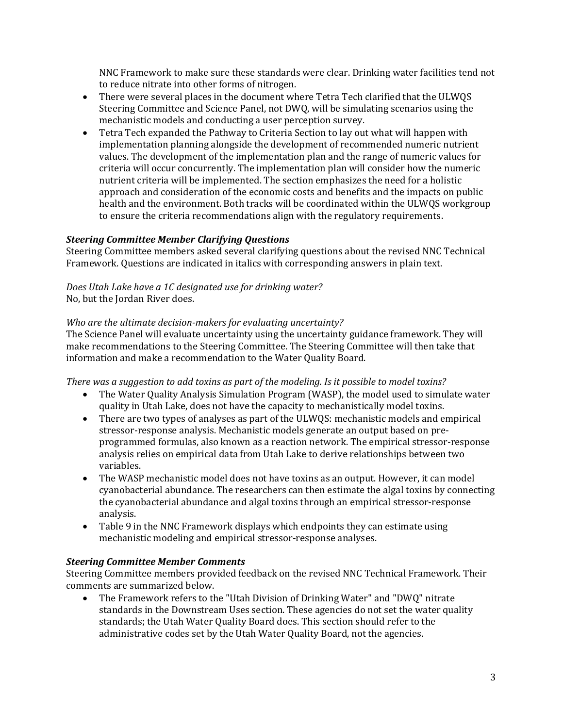NNC Framework to make sure these standards were clear. Drinking water facilities tend not to reduce nitrate into other forms of nitrogen.

- There were several places in the document where Tetra Tech clarified that the ULWQS Steering Committee and Science Panel, not DWQ, will be simulating scenarios using the mechanistic models and conducting a user perception survey.
- Tetra Tech expanded the Pathway to Criteria Section to lay out what will happen with implementation planning alongside the development of recommended numeric nutrient values. The development of the implementation plan and the range of numeric values for criteria will occur concurrently. The implementation plan will consider how the numeric nutrient criteria will be implemented. The section emphasizes the need for a holistic approach and consideration of the economic costs and benefits and the impacts on public health and the environment. Both tracks will be coordinated within the ULWQS workgroup to ensure the criteria recommendations align with the regulatory requirements.

## *Steering Committee Member Clarifying Questions*

Steering Committee members asked several clarifying questions about the revised NNC Technical Framework. Questions are indicated in italics with corresponding answers in plain text.

# *Does Utah Lake have a 1C designated use for drinking water?*

No, but the Jordan River does.

## *Who are the ultimate decision-makers for evaluating uncertainty?*

The Science Panel will evaluate uncertainty using the uncertainty guidance framework. They will make recommendations to the Steering Committee. The Steering Committee will then take that information and make a recommendation to the Water Quality Board.

*There was a suggestion to add toxins as part of the modeling. Is it possible to model toxins?*

- The Water Quality Analysis Simulation Program (WASP), the model used to simulate water quality in Utah Lake, does not have the capacity to mechanistically model toxins.
- There are two types of analyses as part of the ULWQS: mechanistic models and empirical stressor-response analysis. Mechanistic models generate an output based on preprogrammed formulas, also known as a reaction network. The empirical stressor-response analysis relies on empirical data from Utah Lake to derive relationships between two variables.
- The WASP mechanistic model does not have toxins as an output. However, it can model cyanobacterial abundance. The researchers can then estimate the algal toxins by connecting the cyanobacterial abundance and algal toxins through an empirical stressor-response analysis.
- Table 9 in the NNC Framework displays which endpoints they can estimate using mechanistic modeling and empirical stressor-response analyses.

# *Steering Committee Member Comments*

Steering Committee members provided feedback on the revised NNC Technical Framework. Their comments are summarized below.

• The Framework refers to the "Utah Division of Drinking Water" and "DWQ" nitrate standards in the Downstream Uses section. These agencies do not set the water quality standards; the Utah Water Quality Board does. This section should refer to the administrative codes set by the Utah Water Quality Board, not the agencies.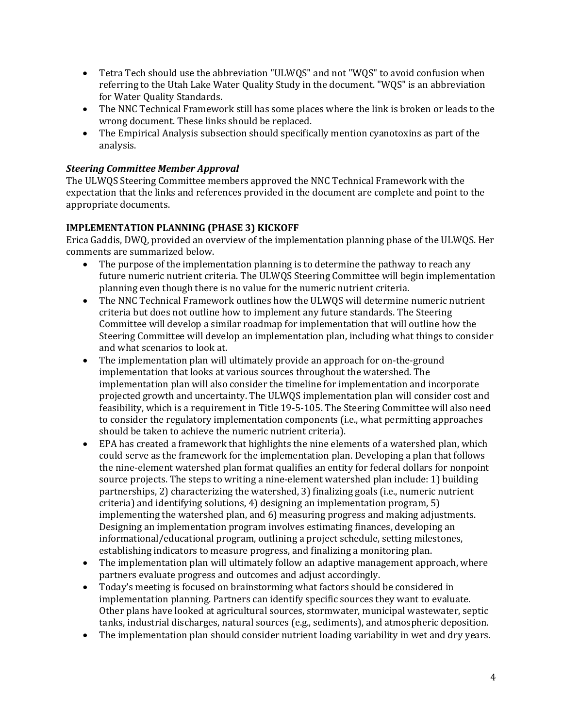- Tetra Tech should use the abbreviation "ULWQS" and not "WQS" to avoid confusion when referring to the Utah Lake Water Quality Study in the document. "WQS" is an abbreviation for Water Quality Standards.
- The NNC Technical Framework still has some places where the link is broken or leads to the wrong document. These links should be replaced.
- The Empirical Analysis subsection should specifically mention cyanotoxins as part of the analysis.

## *Steering Committee Member Approval*

The ULWQS Steering Committee members approved the NNC Technical Framework with the expectation that the links and references provided in the document are complete and point to the appropriate documents.

## **IMPLEMENTATION PLANNING (PHASE 3) KICKOFF**

Erica Gaddis, DWQ, provided an overview of the implementation planning phase of the ULWQS. Her comments are summarized below.

- The purpose of the implementation planning is to determine the pathway to reach any future numeric nutrient criteria. The ULWQS Steering Committee will begin implementation planning even though there is no value for the numeric nutrient criteria.
- The NNC Technical Framework outlines how the ULWQS will determine numeric nutrient criteria but does not outline how to implement any future standards. The Steering Committee will develop a similar roadmap for implementation that will outline how the Steering Committee will develop an implementation plan, including what things to consider and what scenarios to look at.
- The implementation plan will ultimately provide an approach for on-the-ground implementation that looks at various sources throughout the watershed. The implementation plan will also consider the timeline for implementation and incorporate projected growth and uncertainty. The ULWQS implementation plan will consider cost and feasibility, which is a requirement in Title 19-5-105. The Steering Committee will also need to consider the regulatory implementation components (i.e., what permitting approaches should be taken to achieve the numeric nutrient criteria).
- EPA has created a framework that highlights the nine elements of a watershed plan, which could serve as the framework for the implementation plan. Developing a plan that follows the nine-element watershed plan format qualifies an entity for federal dollars for nonpoint source projects. The steps to writing a nine-element watershed plan include: 1) building partnerships, 2) characterizing the watershed, 3) finalizing goals (i.e., numeric nutrient criteria) and identifying solutions, 4) designing an implementation program, 5) implementing the watershed plan, and 6) measuring progress and making adjustments. Designing an implementation program involves estimating finances, developing an informational/educational program, outlining a project schedule, setting milestones, establishing indicators to measure progress, and finalizing a monitoring plan.
- The implementation plan will ultimately follow an adaptive management approach, where partners evaluate progress and outcomes and adjust accordingly.
- Today's meeting is focused on brainstorming what factors should be considered in implementation planning. Partners can identify specific sources they want to evaluate. Other plans have looked at agricultural sources, stormwater, municipal wastewater, septic tanks, industrial discharges, natural sources (e.g., sediments), and atmospheric deposition.
- The implementation plan should consider nutrient loading variability in wet and dry years.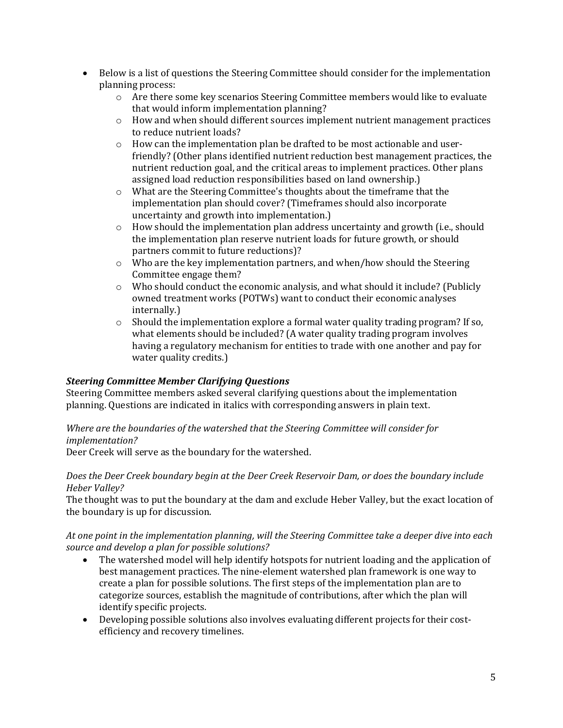- Below is a list of questions the Steering Committee should consider for the implementation planning process:
	- $\circ$  Are there some key scenarios Steering Committee members would like to evaluate that would inform implementation planning?
	- $\circ$  How and when should different sources implement nutrient management practices to reduce nutrient loads?
	- $\circ$  How can the implementation plan be drafted to be most actionable and userfriendly? (Other plans identified nutrient reduction best management practices, the nutrient reduction goal, and the critical areas to implement practices. Other plans assigned load reduction responsibilities based on land ownership.)
	- o What are the Steering Committee's thoughts about the timeframe that the implementation plan should cover? (Timeframes should also incorporate uncertainty and growth into implementation.)
	- o How should the implementation plan address uncertainty and growth (i.e., should the implementation plan reserve nutrient loads for future growth, or should partners commit to future reductions)?
	- o Who are the key implementation partners, and when/how should the Steering Committee engage them?
	- $\circ$  Who should conduct the economic analysis, and what should it include? (Publicly owned treatment works (POTWs) want to conduct their economic analyses internally.)
	- $\circ$  Should the implementation explore a formal water quality trading program? If so, what elements should be included? (A water quality trading program involves having a regulatory mechanism for entities to trade with one another and pay for water quality credits.)

## *Steering Committee Member Clarifying Questions*

Steering Committee members asked several clarifying questions about the implementation planning. Questions are indicated in italics with corresponding answers in plain text.

## *Where are the boundaries of the watershed that the Steering Committee will consider for implementation?*

Deer Creek will serve as the boundary for the watershed.

#### *Does the Deer Creek boundary begin at the Deer Creek Reservoir Dam, or does the boundary include Heber Valley?*

The thought was to put the boundary at the dam and exclude Heber Valley, but the exact location of the boundary is up for discussion.

## *At one point in the implementation planning, will the Steering Committee take a deeper dive into each source and develop a plan for possible solutions?*

- The watershed model will help identify hotspots for nutrient loading and the application of best management practices. The nine-element watershed plan framework is one way to create a plan for possible solutions. The first steps of the implementation plan are to categorize sources, establish the magnitude of contributions, after which the plan will identify specific projects.
- Developing possible solutions also involves evaluating different projects for their costefficiency and recovery timelines.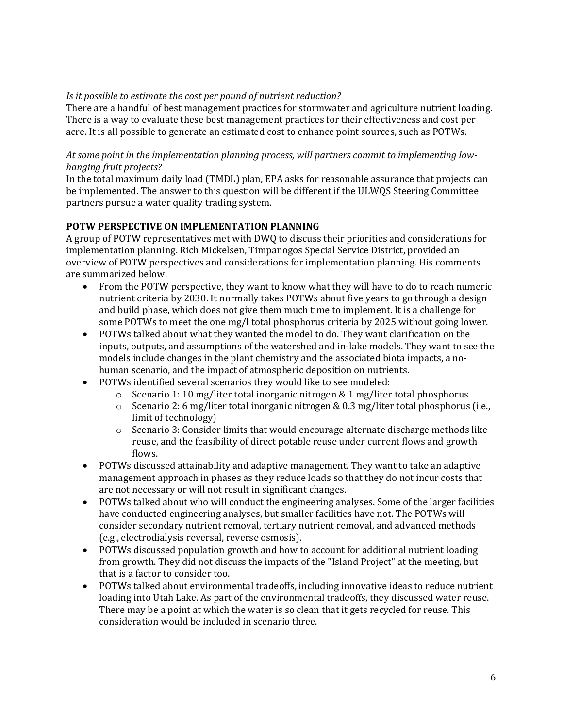#### *Is it possible to estimate the cost per pound of nutrient reduction?*

There are a handful of best management practices for stormwater and agriculture nutrient loading. There is a way to evaluate these best management practices for their effectiveness and cost per acre. It is all possible to generate an estimated cost to enhance point sources, such as POTWs.

#### *At some point in the implementation planning process, will partners commit to implementing lowhanging fruit projects?*

In the total maximum daily load (TMDL) plan, EPA asks for reasonable assurance that projects can be implemented. The answer to this question will be different if the ULWQS Steering Committee partners pursue a water quality trading system.

## **POTW PERSPECTIVE ON IMPLEMENTATION PLANNING**

A group of POTW representatives met with DWQ to discuss their priorities and considerations for implementation planning. Rich Mickelsen, Timpanogos Special Service District, provided an overview of POTW perspectives and considerations for implementation planning. His comments are summarized below.

- From the POTW perspective, they want to know what they will have to do to reach numeric nutrient criteria by 2030. It normally takes POTWs about five years to go through a design and build phase, which does not give them much time to implement. It is a challenge for some POTWs to meet the one mg/l total phosphorus criteria by 2025 without going lower.
- POTWs talked about what they wanted the model to do. They want clarification on the inputs, outputs, and assumptions of the watershed and in-lake models. They want to see the models include changes in the plant chemistry and the associated biota impacts, a nohuman scenario, and the impact of atmospheric deposition on nutrients.
- POTWs identified several scenarios they would like to see modeled:
	- o Scenario 1: 10 mg/liter total inorganic nitrogen & 1 mg/liter total phosphorus
	- $\circ$  Scenario 2: 6 mg/liter total inorganic nitrogen & 0.3 mg/liter total phosphorus (i.e., limit of technology)
	- o Scenario 3: Consider limits that would encourage alternate discharge methods like reuse, and the feasibility of direct potable reuse under current flows and growth flows.
- POTWs discussed attainability and adaptive management. They want to take an adaptive management approach in phases as they reduce loads so that they do not incur costs that are not necessary or will not result in significant changes.
- POTWs talked about who will conduct the engineering analyses. Some of the larger facilities have conducted engineering analyses, but smaller facilities have not. The POTWs will consider secondary nutrient removal, tertiary nutrient removal, and advanced methods (e.g., electrodialysis reversal, reverse osmosis).
- POTWs discussed population growth and how to account for additional nutrient loading from growth. They did not discuss the impacts of the "Island Project" at the meeting, but that is a factor to consider too.
- POTWs talked about environmental tradeoffs, including innovative ideas to reduce nutrient loading into Utah Lake. As part of the environmental tradeoffs, they discussed water reuse. There may be a point at which the water is so clean that it gets recycled for reuse. This consideration would be included in scenario three.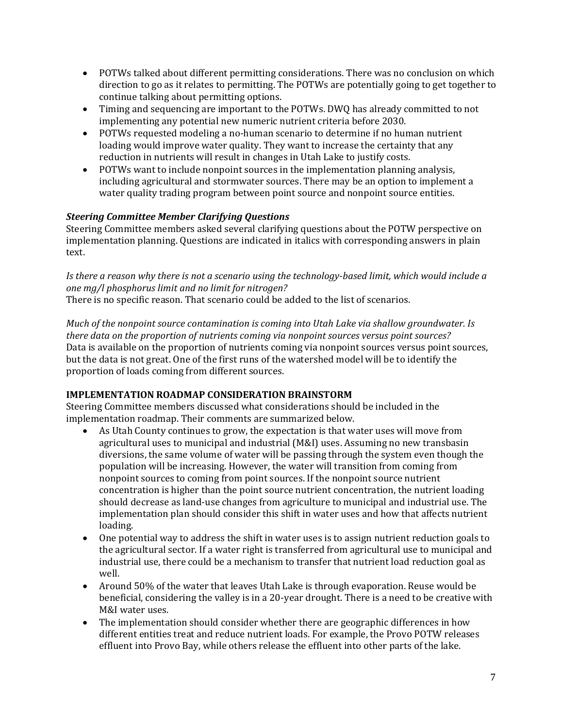- POTWs talked about different permitting considerations. There was no conclusion on which direction to go as it relates to permitting. The POTWs are potentially going to get together to continue talking about permitting options.
- Timing and sequencing are important to the POTWs. DWQ has already committed to not implementing any potential new numeric nutrient criteria before 2030.
- POTWs requested modeling a no-human scenario to determine if no human nutrient loading would improve water quality. They want to increase the certainty that any reduction in nutrients will result in changes in Utah Lake to justify costs.
- POTWs want to include nonpoint sources in the implementation planning analysis, including agricultural and stormwater sources. There may be an option to implement a water quality trading program between point source and nonpoint source entities.

# *Steering Committee Member Clarifying Questions*

Steering Committee members asked several clarifying questions about the POTW perspective on implementation planning. Questions are indicated in italics with corresponding answers in plain text.

*Is there a reason why there is not a scenario using the technology-based limit, which would include a one mg/l phosphorus limit and no limit for nitrogen?*

There is no specific reason. That scenario could be added to the list of scenarios.

*Much of the nonpoint source contamination is coming into Utah Lake via shallow groundwater. Is there data on the proportion of nutrients coming via nonpoint sources versus point sources?* Data is available on the proportion of nutrients coming via nonpoint sources versus point sources, but the data is not great. One of the first runs of the watershed model will be to identify the proportion of loads coming from different sources.

# **IMPLEMENTATION ROADMAP CONSIDERATION BRAINSTORM**

Steering Committee members discussed what considerations should be included in the implementation roadmap. Their comments are summarized below.

- As Utah County continues to grow, the expectation is that water uses will move from agricultural uses to municipal and industrial (M&I) uses. Assuming no new transbasin diversions, the same volume of water will be passing through the system even though the population will be increasing. However, the water will transition from coming from nonpoint sources to coming from point sources. If the nonpoint source nutrient concentration is higher than the point source nutrient concentration, the nutrient loading should decrease as land-use changes from agriculture to municipal and industrial use. The implementation plan should consider this shift in water uses and how that affects nutrient loading.
- One potential way to address the shift in water uses is to assign nutrient reduction goals to the agricultural sector. If a water right is transferred from agricultural use to municipal and industrial use, there could be a mechanism to transfer that nutrient load reduction goal as well.
- Around 50% of the water that leaves Utah Lake is through evaporation. Reuse would be beneficial, considering the valley is in a 20-year drought. There is a need to be creative with M&I water uses.
- The implementation should consider whether there are geographic differences in how different entities treat and reduce nutrient loads. For example, the Provo POTW releases effluent into Provo Bay, while others release the effluent into other parts of the lake.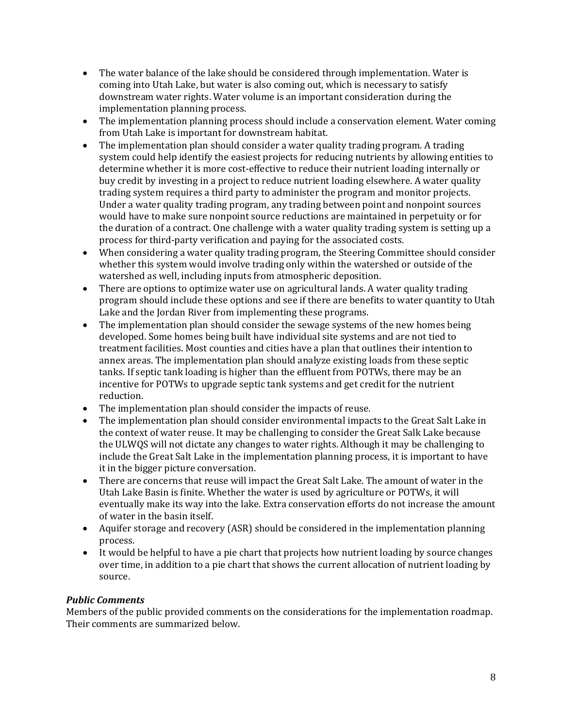- The water balance of the lake should be considered through implementation. Water is coming into Utah Lake, but water is also coming out, which is necessary to satisfy downstream water rights. Water volume is an important consideration during the implementation planning process.
- The implementation planning process should include a conservation element. Water coming from Utah Lake is important for downstream habitat.
- The implementation plan should consider a water quality trading program. A trading system could help identify the easiest projects for reducing nutrients by allowing entities to determine whether it is more cost-effective to reduce their nutrient loading internally or buy credit by investing in a project to reduce nutrient loading elsewhere. A water quality trading system requires a third party to administer the program and monitor projects. Under a water quality trading program, any trading between point and nonpoint sources would have to make sure nonpoint source reductions are maintained in perpetuity or for the duration of a contract. One challenge with a water quality trading system is setting up a process for third-party verification and paying for the associated costs.
- When considering a water quality trading program, the Steering Committee should consider whether this system would involve trading only within the watershed or outside of the watershed as well, including inputs from atmospheric deposition.
- There are options to optimize water use on agricultural lands. A water quality trading program should include these options and see if there are benefits to water quantity to Utah Lake and the Jordan River from implementing these programs.
- The implementation plan should consider the sewage systems of the new homes being developed. Some homes being built have individual site systems and are not tied to treatment facilities. Most counties and cities have a plan that outlines their intention to annex areas. The implementation plan should analyze existing loads from these septic tanks. If septic tank loading is higher than the effluent from POTWs, there may be an incentive for POTWs to upgrade septic tank systems and get credit for the nutrient reduction.
- The implementation plan should consider the impacts of reuse.
- The implementation plan should consider environmental impacts to the Great Salt Lake in the context of water reuse. It may be challenging to consider the Great Salk Lake because the ULWQS will not dictate any changes to water rights. Although it may be challenging to include the Great Salt Lake in the implementation planning process, it is important to have it in the bigger picture conversation.
- There are concerns that reuse will impact the Great Salt Lake. The amount of water in the Utah Lake Basin is finite. Whether the water is used by agriculture or POTWs, it will eventually make its way into the lake. Extra conservation efforts do not increase the amount of water in the basin itself.
- Aquifer storage and recovery (ASR) should be considered in the implementation planning process.
- It would be helpful to have a pie chart that projects how nutrient loading by source changes over time, in addition to a pie chart that shows the current allocation of nutrient loading by source.

## *Public Comments*

Members of the public provided comments on the considerations for the implementation roadmap. Their comments are summarized below.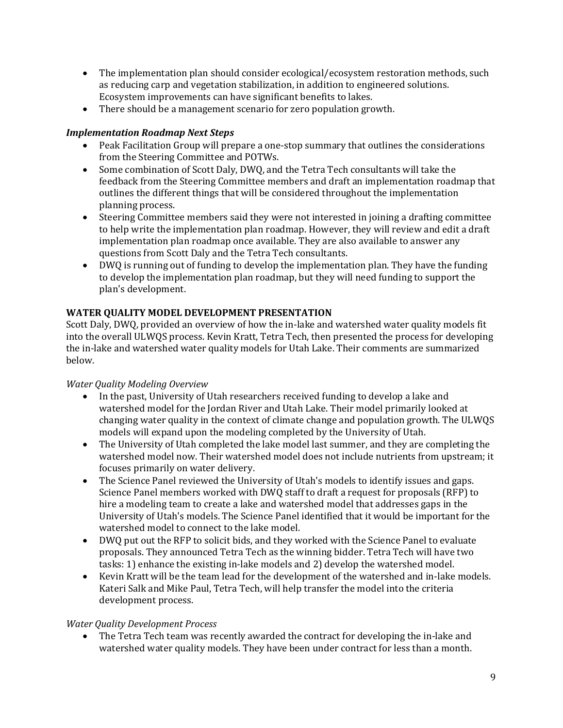- The implementation plan should consider ecological/ecosystem restoration methods, such as reducing carp and vegetation stabilization, in addition to engineered solutions. Ecosystem improvements can have significant benefits to lakes.
- There should be a management scenario for zero population growth.

# *Implementation Roadmap Next Steps*

- Peak Facilitation Group will prepare a one-stop summary that outlines the considerations from the Steering Committee and POTWs.
- Some combination of Scott Daly, DWQ, and the Tetra Tech consultants will take the feedback from the Steering Committee members and draft an implementation roadmap that outlines the different things that will be considered throughout the implementation planning process.
- Steering Committee members said they were not interested in joining a drafting committee to help write the implementation plan roadmap. However, they will review and edit a draft implementation plan roadmap once available. They are also available to answer any questions from Scott Daly and the Tetra Tech consultants.
- DWQ is running out of funding to develop the implementation plan. They have the funding to develop the implementation plan roadmap, but they will need funding to support the plan's development.

# **WATER QUALITY MODEL DEVELOPMENT PRESENTATION**

Scott Daly, DWQ, provided an overview of how the in-lake and watershed water quality models fit into the overall ULWQS process. Kevin Kratt, Tetra Tech, then presented the process for developing the in-lake and watershed water quality models for Utah Lake. Their comments are summarized below.

# *Water Quality Modeling Overview*

- In the past, University of Utah researchers received funding to develop a lake and watershed model for the Jordan River and Utah Lake. Their model primarily looked at changing water quality in the context of climate change and population growth. The ULWQS models will expand upon the modeling completed by the University of Utah.
- The University of Utah completed the lake model last summer, and they are completing the watershed model now. Their watershed model does not include nutrients from upstream; it focuses primarily on water delivery.
- The Science Panel reviewed the University of Utah's models to identify issues and gaps. Science Panel members worked with DWQ staff to draft a request for proposals (RFP) to hire a modeling team to create a lake and watershed model that addresses gaps in the University of Utah's models. The Science Panel identified that it would be important for the watershed model to connect to the lake model.
- DWQ put out the RFP to solicit bids, and they worked with the Science Panel to evaluate proposals. They announced Tetra Tech as the winning bidder. Tetra Tech will have two tasks: 1) enhance the existing in-lake models and 2) develop the watershed model.
- Kevin Kratt will be the team lead for the development of the watershed and in-lake models. Kateri Salk and Mike Paul, Tetra Tech, will help transfer the model into the criteria development process.

# *Water Quality Development Process*

• The Tetra Tech team was recently awarded the contract for developing the in-lake and watershed water quality models. They have been under contract for less than a month.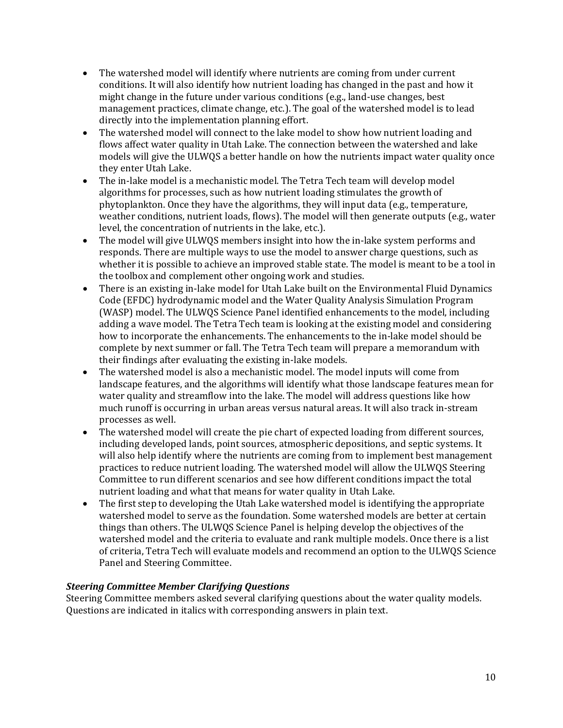- The watershed model will identify where nutrients are coming from under current conditions. It will also identify how nutrient loading has changed in the past and how it might change in the future under various conditions (e.g., land-use changes, best management practices, climate change, etc.). The goal of the watershed model is to lead directly into the implementation planning effort.
- The watershed model will connect to the lake model to show how nutrient loading and flows affect water quality in Utah Lake. The connection between the watershed and lake models will give the ULWQS a better handle on how the nutrients impact water quality once they enter Utah Lake.
- The in-lake model is a mechanistic model. The Tetra Tech team will develop model algorithms for processes, such as how nutrient loading stimulates the growth of phytoplankton. Once they have the algorithms, they will input data (e.g., temperature, weather conditions, nutrient loads, flows). The model will then generate outputs (e.g., water level, the concentration of nutrients in the lake, etc.).
- The model will give ULWQS members insight into how the in-lake system performs and responds. There are multiple ways to use the model to answer charge questions, such as whether it is possible to achieve an improved stable state. The model is meant to be a tool in the toolbox and complement other ongoing work and studies.
- There is an existing in-lake model for Utah Lake built on the Environmental Fluid Dynamics Code (EFDC) hydrodynamic model and the Water Quality Analysis Simulation Program (WASP) model. The ULWQS Science Panel identified enhancements to the model, including adding a wave model. The Tetra Tech team is looking at the existing model and considering how to incorporate the enhancements. The enhancements to the in-lake model should be complete by next summer or fall. The Tetra Tech team will prepare a memorandum with their findings after evaluating the existing in-lake models.
- The watershed model is also a mechanistic model. The model inputs will come from landscape features, and the algorithms will identify what those landscape features mean for water quality and streamflow into the lake. The model will address questions like how much runoff is occurring in urban areas versus natural areas. It will also track in-stream processes as well.
- The watershed model will create the pie chart of expected loading from different sources, including developed lands, point sources, atmospheric depositions, and septic systems. It will also help identify where the nutrients are coming from to implement best management practices to reduce nutrient loading. The watershed model will allow the ULWQS Steering Committee to run different scenarios and see how different conditions impact the total nutrient loading and what that means for water quality in Utah Lake.
- The first step to developing the Utah Lake watershed model is identifying the appropriate watershed model to serve as the foundation. Some watershed models are better at certain things than others. The ULWQS Science Panel is helping develop the objectives of the watershed model and the criteria to evaluate and rank multiple models. Once there is a list of criteria, Tetra Tech will evaluate models and recommend an option to the ULWQS Science Panel and Steering Committee.

# *Steering Committee Member Clarifying Questions*

Steering Committee members asked several clarifying questions about the water quality models. Questions are indicated in italics with corresponding answers in plain text.